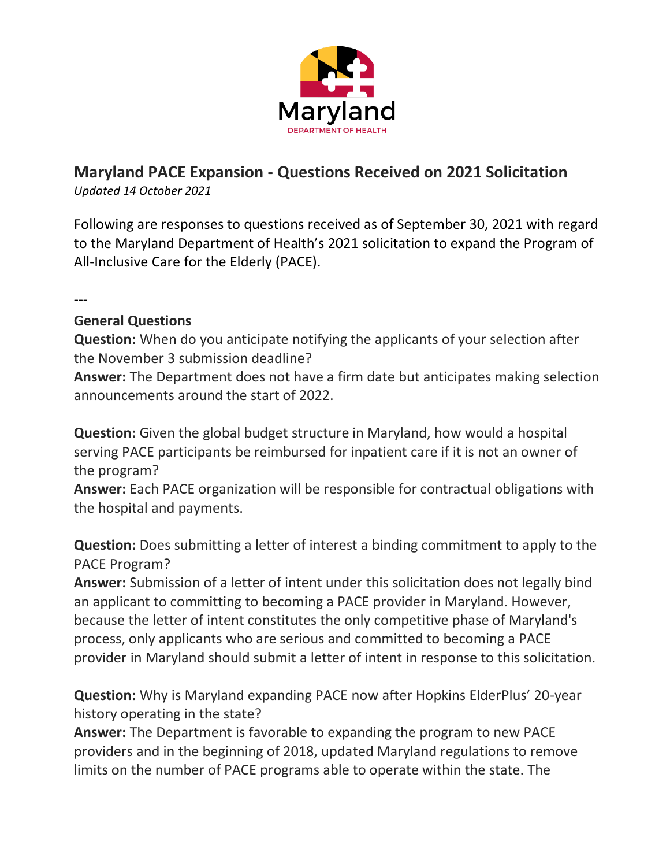

# **Maryland PACE Expansion - Questions Received on 2021 Solicitation**

*Updated 14 October 2021*

Following are responses to questions received as of September 30, 2021 with regard to the Maryland Department of Health's 2021 solicitation to expand the Program of All-Inclusive Care for the Elderly (PACE).

---

### **General Questions**

**Question:** When do you anticipate notifying the applicants of your selection after the November 3 submission deadline?

**Answer:** The Department does not have a firm date but anticipates making selection announcements around the start of 2022.

**Question:** Given the global budget structure in Maryland, how would a hospital serving PACE participants be reimbursed for inpatient care if it is not an owner of the program?

**Answer:** Each PACE organization will be responsible for contractual obligations with the hospital and payments.

**Question:** Does submitting a letter of interest a binding commitment to apply to the PACE Program?

**Answer:** Submission of a letter of intent under this solicitation does not legally bind an applicant to committing to becoming a PACE provider in Maryland. However, because the letter of intent constitutes the only competitive phase of Maryland's process, only applicants who are serious and committed to becoming a PACE provider in Maryland should submit a letter of intent in response to this solicitation.

**Question:** Why is Maryland expanding PACE now after Hopkins ElderPlus' 20-year history operating in the state?

**Answer:** The Department is favorable to expanding the program to new PACE providers and in the beginning of 2018, updated Maryland regulations to remove limits on the number of PACE programs able to operate within the state. The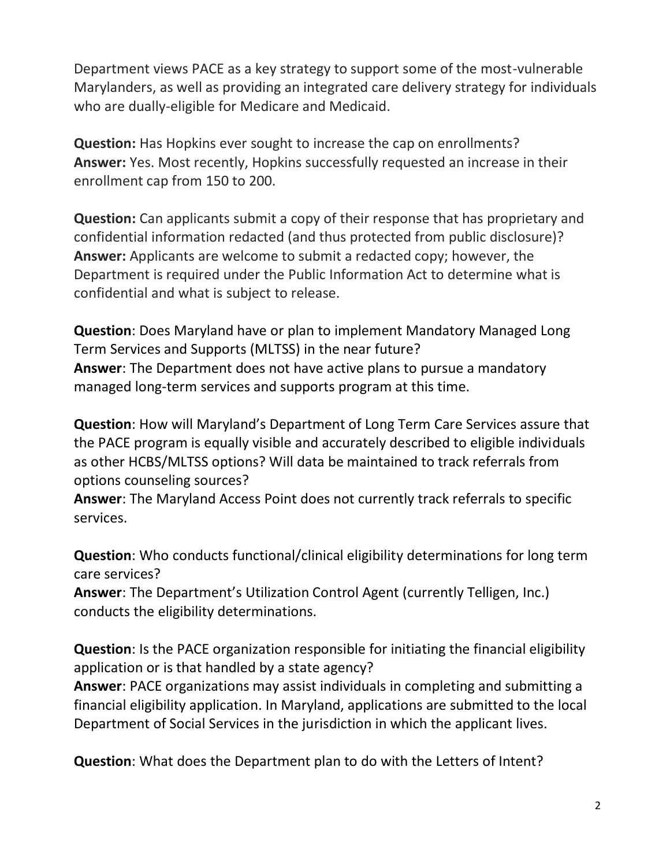Department views PACE as a key strategy to support some of the most-vulnerable Marylanders, as well as providing an integrated care delivery strategy for individuals who are dually-eligible for Medicare and Medicaid.

**Question:** Has Hopkins ever sought to increase the cap on enrollments? **Answer:** Yes. Most recently, Hopkins successfully requested an increase in their enrollment cap from 150 to 200.

**Question:** Can applicants submit a copy of their response that has proprietary and confidential information redacted (and thus protected from public disclosure)? **Answer:** Applicants are welcome to submit a redacted copy; however, the Department is required under the Public Information Act to determine what is confidential and what is subject to release.

**Question**: Does Maryland have or plan to implement Mandatory Managed Long Term Services and Supports (MLTSS) in the near future? **Answer**: The Department does not have active plans to pursue a mandatory managed long-term services and supports program at this time.

**Question**: How will Maryland's Department of Long Term Care Services assure that the PACE program is equally visible and accurately described to eligible individuals as other HCBS/MLTSS options? Will data be maintained to track referrals from options counseling sources?

**Answer**: The Maryland Access Point does not currently track referrals to specific services.

**Question**: Who conducts functional/clinical eligibility determinations for long term care services?

**Answer**: The Department's Utilization Control Agent (currently Telligen, Inc.) conducts the eligibility determinations.

**Question**: Is the PACE organization responsible for initiating the financial eligibility application or is that handled by a state agency?

**Answer**: PACE organizations may assist individuals in completing and submitting a financial eligibility application. In Maryland, applications are submitted to the local Department of Social Services in the jurisdiction in which the applicant lives.

**Question**: What does the Department plan to do with the Letters of Intent?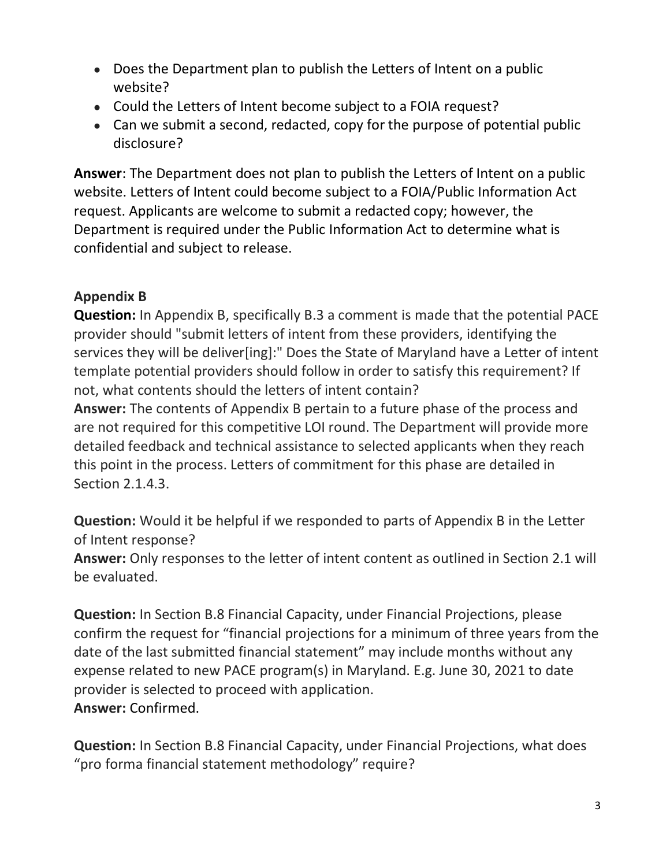- Does the Department plan to publish the Letters of Intent on a public website?
- Could the Letters of Intent become subject to a FOIA request?
- Can we submit a second, redacted, copy for the purpose of potential public disclosure?

**Answer**: The Department does not plan to publish the Letters of Intent on a public website. Letters of Intent could become subject to a FOIA/Public Information Act request. Applicants are welcome to submit a redacted copy; however, the Department is required under the Public Information Act to determine what is confidential and subject to release.

# **Appendix B**

**Question:** In Appendix B, specifically B.3 a comment is made that the potential PACE provider should "submit letters of intent from these providers, identifying the services they will be deliver[ing]:" Does the State of Maryland have a Letter of intent template potential providers should follow in order to satisfy this requirement? If not, what contents should the letters of intent contain?

**Answer:** The contents of Appendix B pertain to a future phase of the process and are not required for this competitive LOI round. The Department will provide more detailed feedback and technical assistance to selected applicants when they reach this point in the process. Letters of commitment for this phase are detailed in Section 2.1.4.3.

**Question:** Would it be helpful if we responded to parts of Appendix B in the Letter of Intent response?

**Answer:** Only responses to the letter of intent content as outlined in Section 2.1 will be evaluated.

**Question:** In Section B.8 Financial Capacity, under Financial Projections, please confirm the request for "financial projections for a minimum of three years from the date of the last submitted financial statement" may include months without any expense related to new PACE program(s) in Maryland. E.g. June 30, 2021 to date provider is selected to proceed with application. **Answer:** Confirmed.

**Question:** In Section B.8 Financial Capacity, under Financial Projections, what does "pro forma financial statement methodology" require?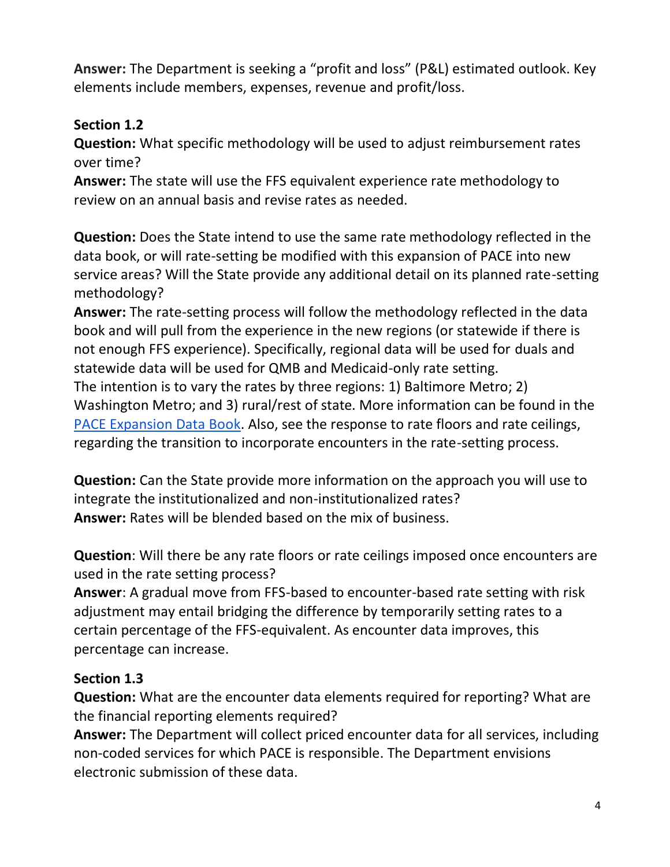**Answer:** The Department is seeking a "profit and loss" (P&L) estimated outlook. Key elements include members, expenses, revenue and profit/loss.

### **Section 1.2**

**Question:** What specific methodology will be used to adjust reimbursement rates over time?

**Answer:** The state will use the FFS equivalent experience rate methodology to review on an annual basis and revise rates as needed.

**Question:** Does the State intend to use the same rate methodology reflected in the data book, or will rate-setting be modified with this expansion of PACE into new service areas? Will the State provide any additional detail on its planned rate-setting methodology?

**Answer:** The rate-setting process will follow the methodology reflected in the data book and will pull from the experience in the new regions (or statewide if there is not enough FFS experience). Specifically, regional data will be used for duals and statewide data will be used for QMB and Medicaid-only rate setting.

The intention is to vary the rates by three regions: 1) Baltimore Metro; 2) Washington Metro; and 3) rural/rest of state. More information can be found in the [PACE Expansion Data Book.](https://health.maryland.gov/mmcp/longtermcare/Documents/PACE%20Data%20Book%209.1.21.pdf) Also, see the response to rate floors and rate ceilings, regarding the transition to incorporate encounters in the rate-setting process.

**Question:** Can the State provide more information on the approach you will use to integrate the institutionalized and non-institutionalized rates? **Answer:** Rates will be blended based on the mix of business.

**Question**: Will there be any rate floors or rate ceilings imposed once encounters are used in the rate setting process?

**Answer**: A gradual move from FFS-based to encounter-based rate setting with risk adjustment may entail bridging the difference by temporarily setting rates to a certain percentage of the FFS-equivalent. As encounter data improves, this percentage can increase.

### **Section 1.3**

**Question:** What are the encounter data elements required for reporting? What are the financial reporting elements required?

**Answer:** The Department will collect priced encounter data for all services, including non-coded services for which PACE is responsible. The Department envisions electronic submission of these data.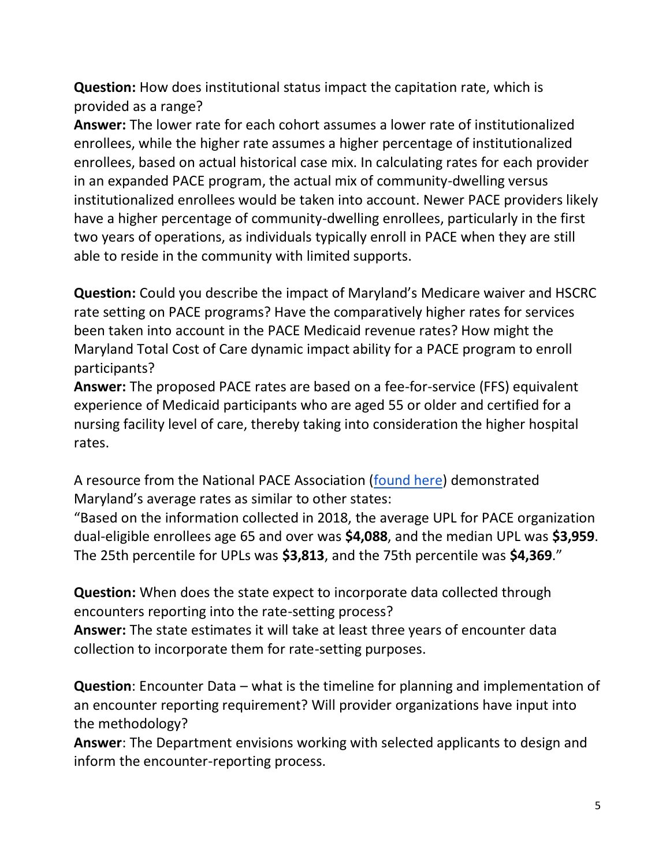**Question:** How does institutional status impact the capitation rate, which is provided as a range?

**Answer:** The lower rate for each cohort assumes a lower rate of institutionalized enrollees, while the higher rate assumes a higher percentage of institutionalized enrollees, based on actual historical case mix. In calculating rates for each provider in an expanded PACE program, the actual mix of community-dwelling versus institutionalized enrollees would be taken into account. Newer PACE providers likely have a higher percentage of community-dwelling enrollees, particularly in the first two years of operations, as individuals typically enroll in PACE when they are still able to reside in the community with limited supports.

**Question:** Could you describe the impact of Maryland's Medicare waiver and HSCRC rate setting on PACE programs? Have the comparatively higher rates for services been taken into account in the PACE Medicaid revenue rates? How might the Maryland Total Cost of Care dynamic impact ability for a PACE program to enroll participants?

**Answer:** The proposed PACE rates are based on a fee-for-service (FFS) equivalent experience of Medicaid participants who are aged 55 or older and certified for a nursing facility level of care, thereby taking into consideration the higher hospital rates.

A resource from the National PACE Association [\(found here\)](https://www.npaonline.org/sites/default/files/PDFs/UPL_paper_FINAL.pdf) demonstrated Maryland's average rates as similar to other states:

"Based on the information collected in 2018, the average UPL for PACE organization dual-eligible enrollees age 65 and over was **\$4,088**, and the median UPL was **\$3,959**. The 25th percentile for UPLs was **\$3,813**, and the 75th percentile was **\$4,369**."

**Question:** When does the state expect to incorporate data collected through encounters reporting into the rate-setting process?

**Answer:** The state estimates it will take at least three years of encounter data collection to incorporate them for rate-setting purposes.

**Question**: Encounter Data – what is the timeline for planning and implementation of an encounter reporting requirement? Will provider organizations have input into the methodology?

**Answer**: The Department envisions working with selected applicants to design and inform the encounter-reporting process.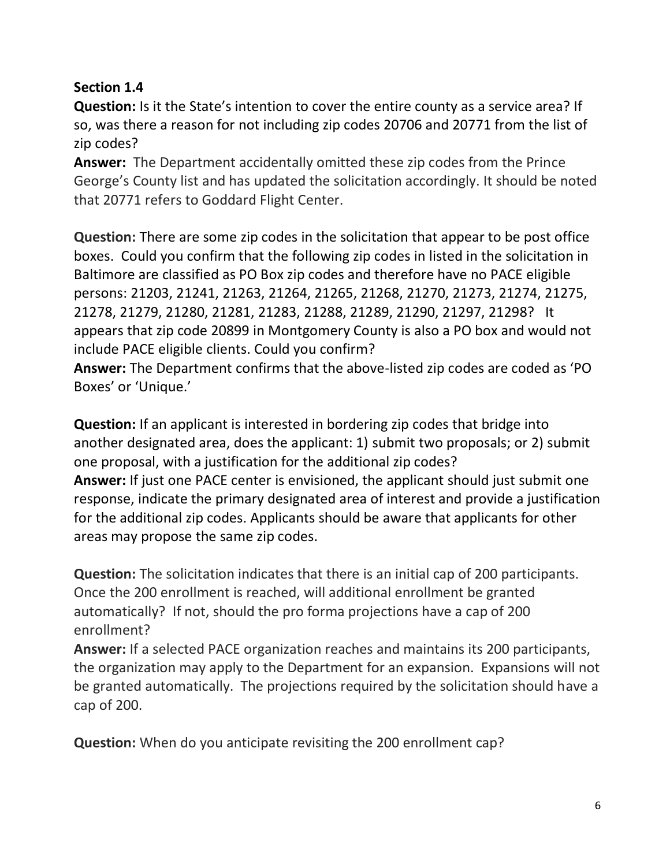### **Section 1.4**

**Question:** Is it the State's intention to cover the entire county as a service area? If so, was there a reason for not including zip codes 20706 and 20771 from the list of zip codes?

**Answer:** The Department accidentally omitted these zip codes from the Prince George's County list and has updated the solicitation accordingly. It should be noted that 20771 refers to Goddard Flight Center.

**Question:** There are some zip codes in the solicitation that appear to be post office boxes. Could you confirm that the following zip codes in listed in the solicitation in Baltimore are classified as PO Box zip codes and therefore have no PACE eligible persons: 21203, 21241, 21263, 21264, 21265, 21268, 21270, 21273, 21274, 21275, 21278, 21279, 21280, 21281, 21283, 21288, 21289, 21290, 21297, 21298? It appears that zip code 20899 in Montgomery County is also a PO box and would not include PACE eligible clients. Could you confirm?

**Answer:** The Department confirms that the above-listed zip codes are coded as 'PO Boxes' or 'Unique.'

**Question:** If an applicant is interested in bordering zip codes that bridge into another designated area, does the applicant: 1) submit two proposals; or 2) submit one proposal, with a justification for the additional zip codes? **Answer:** If just one PACE center is envisioned, the applicant should just submit one response, indicate the primary designated area of interest and provide a justification for the additional zip codes. Applicants should be aware that applicants for other areas may propose the same zip codes.

**Question:** The solicitation indicates that there is an initial cap of 200 participants. Once the 200 enrollment is reached, will additional enrollment be granted automatically? If not, should the pro forma projections have a cap of 200 enrollment?

**Answer:** If a selected PACE organization reaches and maintains its 200 participants, the organization may apply to the Department for an expansion. Expansions will not be granted automatically. The projections required by the solicitation should have a cap of 200.

**Question:** When do you anticipate revisiting the 200 enrollment cap?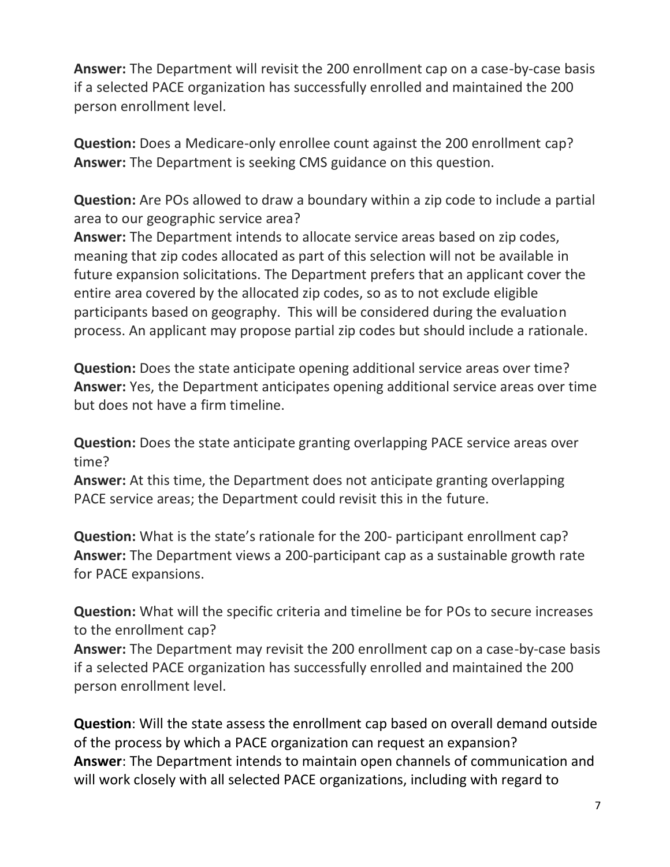**Answer:** The Department will revisit the 200 enrollment cap on a case-by-case basis if a selected PACE organization has successfully enrolled and maintained the 200 person enrollment level.

**Question:** Does a Medicare-only enrollee count against the 200 enrollment cap? **Answer:** The Department is seeking CMS guidance on this question.

**Question:** Are POs allowed to draw a boundary within a zip code to include a partial area to our geographic service area?

**Answer:** The Department intends to allocate service areas based on zip codes, meaning that zip codes allocated as part of this selection will not be available in future expansion solicitations. The Department prefers that an applicant cover the entire area covered by the allocated zip codes, so as to not exclude eligible participants based on geography. This will be considered during the evaluation process. An applicant may propose partial zip codes but should include a rationale.

**Question:** Does the state anticipate opening additional service areas over time? **Answer:** Yes, the Department anticipates opening additional service areas over time but does not have a firm timeline.

**Question:** Does the state anticipate granting overlapping PACE service areas over time?

**Answer:** At this time, the Department does not anticipate granting overlapping PACE service areas; the Department could revisit this in the future.

**Question:** What is the state's rationale for the 200- participant enrollment cap? **Answer:** The Department views a 200-participant cap as a sustainable growth rate for PACE expansions.

**Question:** What will the specific criteria and timeline be for POs to secure increases to the enrollment cap?

**Answer:** The Department may revisit the 200 enrollment cap on a case-by-case basis if a selected PACE organization has successfully enrolled and maintained the 200 person enrollment level.

**Question**: Will the state assess the enrollment cap based on overall demand outside of the process by which a PACE organization can request an expansion? **Answer**: The Department intends to maintain open channels of communication and will work closely with all selected PACE organizations, including with regard to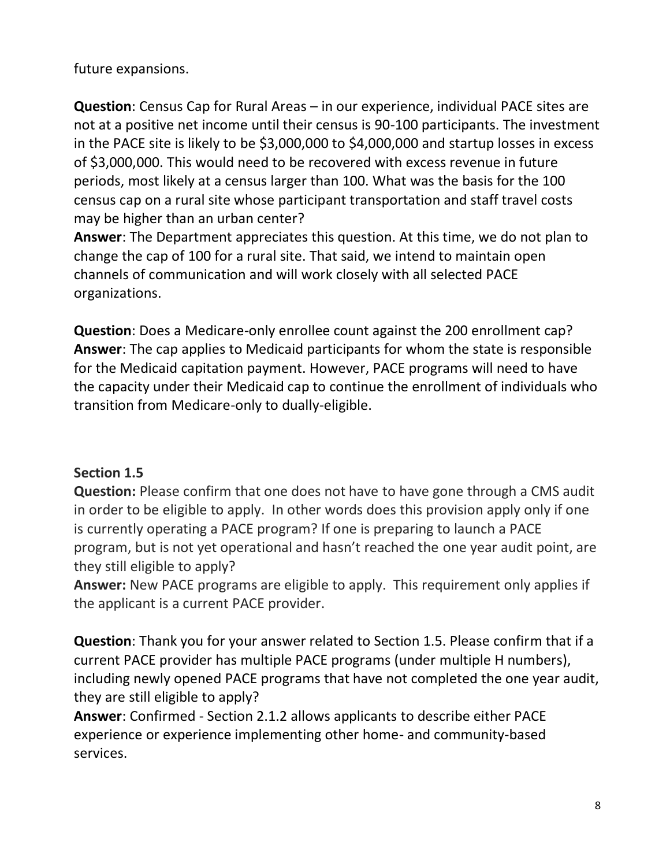#### future expansions.

**Question**: Census Cap for Rural Areas – in our experience, individual PACE sites are not at a positive net income until their census is 90-100 participants. The investment in the PACE site is likely to be \$3,000,000 to \$4,000,000 and startup losses in excess of \$3,000,000. This would need to be recovered with excess revenue in future periods, most likely at a census larger than 100. What was the basis for the 100 census cap on a rural site whose participant transportation and staff travel costs may be higher than an urban center?

**Answer**: The Department appreciates this question. At this time, we do not plan to change the cap of 100 for a rural site. That said, we intend to maintain open channels of communication and will work closely with all selected PACE organizations.

**Question**: Does a Medicare-only enrollee count against the 200 enrollment cap? **Answer**: The cap applies to Medicaid participants for whom the state is responsible for the Medicaid capitation payment. However, PACE programs will need to have the capacity under their Medicaid cap to continue the enrollment of individuals who transition from Medicare-only to dually-eligible.

### **Section 1.5**

**Question:** Please confirm that one does not have to have gone through a CMS audit in order to be eligible to apply. In other words does this provision apply only if one is currently operating a PACE program? If one is preparing to launch a PACE program, but is not yet operational and hasn't reached the one year audit point, are they still eligible to apply?

**Answer:** New PACE programs are eligible to apply. This requirement only applies if the applicant is a current PACE provider.

**Question**: Thank you for your answer related to Section 1.5. Please confirm that if a current PACE provider has multiple PACE programs (under multiple H numbers), including newly opened PACE programs that have not completed the one year audit, they are still eligible to apply?

**Answer**: Confirmed - Section 2.1.2 allows applicants to describe either PACE experience or experience implementing other home- and community-based services.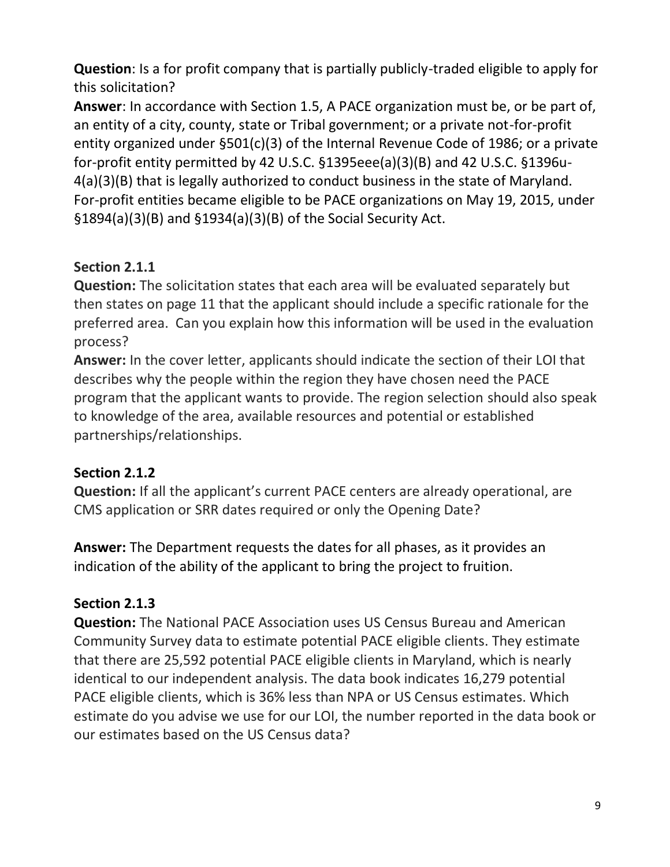**Question**: Is a for profit company that is partially publicly-traded eligible to apply for this solicitation?

**Answer**: In accordance with Section 1.5, A PACE organization must be, or be part of, an entity of a city, county, state or Tribal government; or a private not-for-profit entity organized under §501(c)(3) of the Internal Revenue Code of 1986; or a private for-profit entity permitted by 42 U.S.C. §1395eee(a)(3)(B) and 42 U.S.C. §1396u-4(a)(3)(B) that is legally authorized to conduct business in the state of Maryland. For-profit entities became eligible to be PACE organizations on May 19, 2015, under §1894(a)(3)(B) and §1934(a)(3)(B) of the Social Security Act.

# **Section 2.1.1**

**Question:** The solicitation states that each area will be evaluated separately but then states on page 11 that the applicant should include a specific rationale for the preferred area. Can you explain how this information will be used in the evaluation process?

**Answer:** In the cover letter, applicants should indicate the section of their LOI that describes why the people within the region they have chosen need the PACE program that the applicant wants to provide. The region selection should also speak to knowledge of the area, available resources and potential or established partnerships/relationships.

# **Section 2.1.2**

**Question:** If all the applicant's current PACE centers are already operational, are CMS application or SRR dates required or only the Opening Date?

**Answer:** The Department requests the dates for all phases, as it provides an indication of the ability of the applicant to bring the project to fruition.

# **Section 2.1.3**

**Question:** The National PACE Association uses US Census Bureau and American Community Survey data to estimate potential PACE eligible clients. They estimate that there are 25,592 potential PACE eligible clients in Maryland, which is nearly identical to our independent analysis. The data book indicates 16,279 potential PACE eligible clients, which is 36% less than NPA or US Census estimates. Which estimate do you advise we use for our LOI, the number reported in the data book or our estimates based on the US Census data?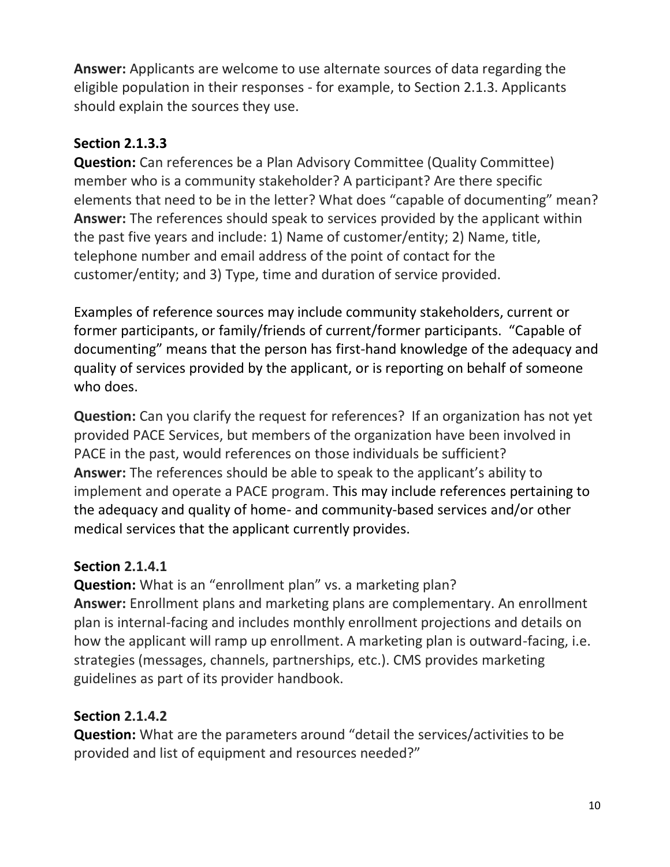**Answer:** Applicants are welcome to use alternate sources of data regarding the eligible population in their responses - for example, to Section 2.1.3. Applicants should explain the sources they use.

# **Section 2.1.3.3**

**Question:** Can references be a Plan Advisory Committee (Quality Committee) member who is a community stakeholder? A participant? Are there specific elements that need to be in the letter? What does "capable of documenting" mean? **Answer:** The references should speak to services provided by the applicant within the past five years and include: 1) Name of customer/entity; 2) Name, title, telephone number and email address of the point of contact for the customer/entity; and 3) Type, time and duration of service provided.

Examples of reference sources may include community stakeholders, current or former participants, or family/friends of current/former participants. "Capable of documenting" means that the person has first-hand knowledge of the adequacy and quality of services provided by the applicant, or is reporting on behalf of someone who does.

**Question:** Can you clarify the request for references? If an organization has not yet provided PACE Services, but members of the organization have been involved in PACE in the past, would references on those individuals be sufficient? **Answer:** The references should be able to speak to the applicant's ability to implement and operate a PACE program. This may include references pertaining to the adequacy and quality of home- and community-based services and/or other medical services that the applicant currently provides.

### **Section 2.1.4.1**

**Question:** What is an "enrollment plan" vs. a marketing plan? **Answer:** Enrollment plans and marketing plans are complementary. An enrollment plan is internal-facing and includes monthly enrollment projections and details on how the applicant will ramp up enrollment. A marketing plan is outward-facing, i.e. strategies (messages, channels, partnerships, etc.). CMS provides marketing guidelines as part of its provider handbook.

### **Section 2.1.4.2**

**Question:** What are the parameters around "detail the services/activities to be provided and list of equipment and resources needed?"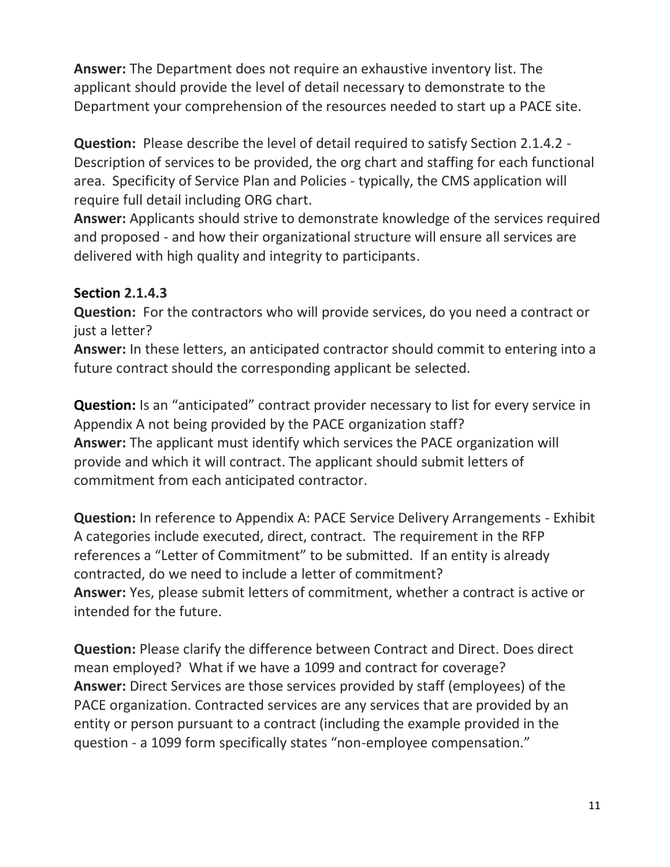**Answer:** The Department does not require an exhaustive inventory list. The applicant should provide the level of detail necessary to demonstrate to the Department your comprehension of the resources needed to start up a PACE site.

**Question:** Please describe the level of detail required to satisfy Section 2.1.4.2 - Description of services to be provided, the org chart and staffing for each functional area. Specificity of Service Plan and Policies - typically, the CMS application will require full detail including ORG chart.

**Answer:** Applicants should strive to demonstrate knowledge of the services required and proposed - and how their organizational structure will ensure all services are delivered with high quality and integrity to participants.

### **Section 2.1.4.3**

**Question:** For the contractors who will provide services, do you need a contract or just a letter?

**Answer:** In these letters, an anticipated contractor should commit to entering into a future contract should the corresponding applicant be selected.

**Question:** Is an "anticipated" contract provider necessary to list for every service in Appendix A not being provided by the PACE organization staff? **Answer:** The applicant must identify which services the PACE organization will provide and which it will contract. The applicant should submit letters of commitment from each anticipated contractor.

**Question:** In reference to Appendix A: PACE Service Delivery Arrangements - Exhibit A categories include executed, direct, contract. The requirement in the RFP references a "Letter of Commitment" to be submitted. If an entity is already contracted, do we need to include a letter of commitment? **Answer:** Yes, please submit letters of commitment, whether a contract is active or intended for the future.

**Question:** Please clarify the difference between Contract and Direct. Does direct mean employed? What if we have a 1099 and contract for coverage? **Answer:** Direct Services are those services provided by staff (employees) of the PACE organization. Contracted services are any services that are provided by an entity or person pursuant to a contract (including the example provided in the question - a 1099 form specifically states "non-employee compensation."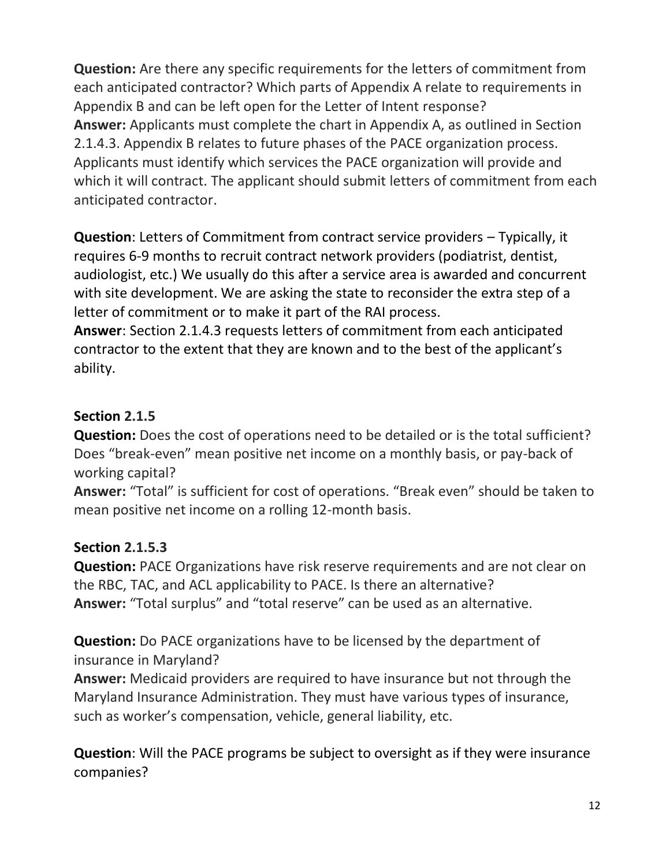**Question:** Are there any specific requirements for the letters of commitment from each anticipated contractor? Which parts of Appendix A relate to requirements in Appendix B and can be left open for the Letter of Intent response? **Answer:** Applicants must complete the chart in Appendix A, as outlined in Section 2.1.4.3. Appendix B relates to future phases of the PACE organization process. Applicants must identify which services the PACE organization will provide and which it will contract. The applicant should submit letters of commitment from each anticipated contractor.

**Question**: Letters of Commitment from contract service providers – Typically, it requires 6-9 months to recruit contract network providers (podiatrist, dentist, audiologist, etc.) We usually do this after a service area is awarded and concurrent with site development. We are asking the state to reconsider the extra step of a letter of commitment or to make it part of the RAI process.

**Answer**: Section 2.1.4.3 requests letters of commitment from each anticipated contractor to the extent that they are known and to the best of the applicant's ability.

# **Section 2.1.5**

**Question:** Does the cost of operations need to be detailed or is the total sufficient? Does "break-even" mean positive net income on a monthly basis, or pay-back of working capital?

**Answer:** "Total" is sufficient for cost of operations. "Break even" should be taken to mean positive net income on a rolling 12-month basis.

### **Section 2.1.5.3**

**Question:** PACE Organizations have risk reserve requirements and are not clear on the RBC, TAC, and ACL applicability to PACE. Is there an alternative? **Answer:** "Total surplus" and "total reserve" can be used as an alternative.

**Question:** Do PACE organizations have to be licensed by the department of insurance in Maryland?

**Answer:** Medicaid providers are required to have insurance but not through the Maryland Insurance Administration. They must have various types of insurance, such as worker's compensation, vehicle, general liability, etc.

**Question**: Will the PACE programs be subject to oversight as if they were insurance companies?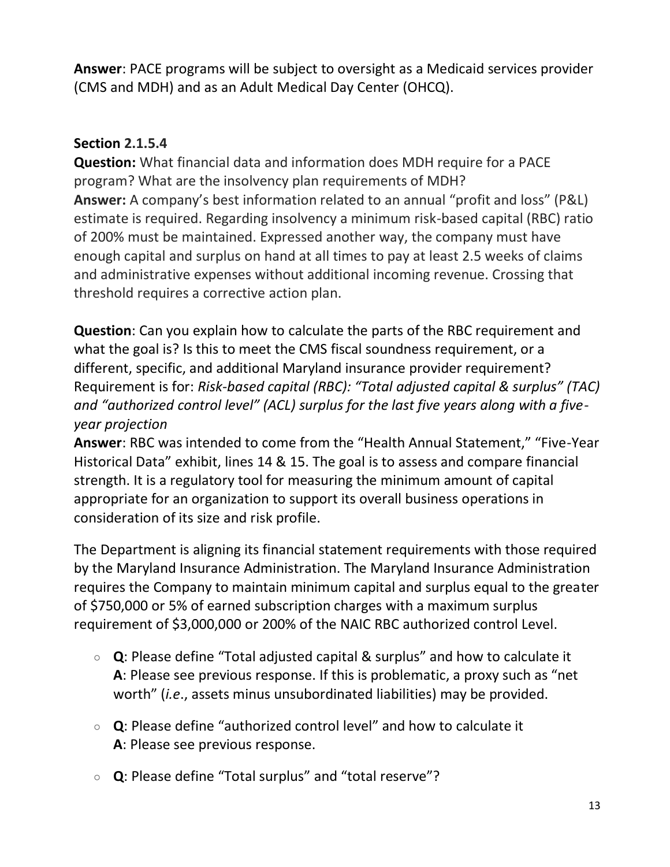**Answer**: PACE programs will be subject to oversight as a Medicaid services provider (CMS and MDH) and as an Adult Medical Day Center (OHCQ).

#### **Section 2.1.5.4**

**Question:** What financial data and information does MDH require for a PACE program? What are the insolvency plan requirements of MDH? **Answer:** A company's best information related to an annual "profit and loss" (P&L) estimate is required. Regarding insolvency a minimum risk-based capital (RBC) ratio of 200% must be maintained. Expressed another way, the company must have enough capital and surplus on hand at all times to pay at least 2.5 weeks of claims and administrative expenses without additional incoming revenue. Crossing that threshold requires a corrective action plan.

**Question**: Can you explain how to calculate the parts of the RBC requirement and what the goal is? Is this to meet the CMS fiscal soundness requirement, or a different, specific, and additional Maryland insurance provider requirement? Requirement is for: *Risk-based capital (RBC): "Total adjusted capital & surplus" (TAC) and "authorized control level" (ACL) surplus for the last five years along with a fiveyear projection*

**Answer**: RBC was intended to come from the "Health Annual Statement," "Five-Year Historical Data" exhibit, lines 14 & 15. The goal is to assess and compare financial strength. It is a regulatory tool for measuring the minimum amount of capital appropriate for an organization to support its overall business operations in consideration of its size and risk profile.

The Department is aligning its financial statement requirements with those required by the Maryland Insurance Administration. The Maryland Insurance Administration requires the Company to maintain minimum capital and surplus equal to the greater of \$750,000 or 5% of earned subscription charges with a maximum surplus requirement of \$3,000,000 or 200% of the NAIC RBC authorized control Level.

- **Q**: Please define "Total adjusted capital & surplus" and how to calculate it **A**: Please see previous response. If this is problematic, a proxy such as "net worth" (*i.e*., assets minus unsubordinated liabilities) may be provided.
- **Q**: Please define "authorized control level" and how to calculate it **A**: Please see previous response.
- **Q**: Please define "Total surplus" and "total reserve"?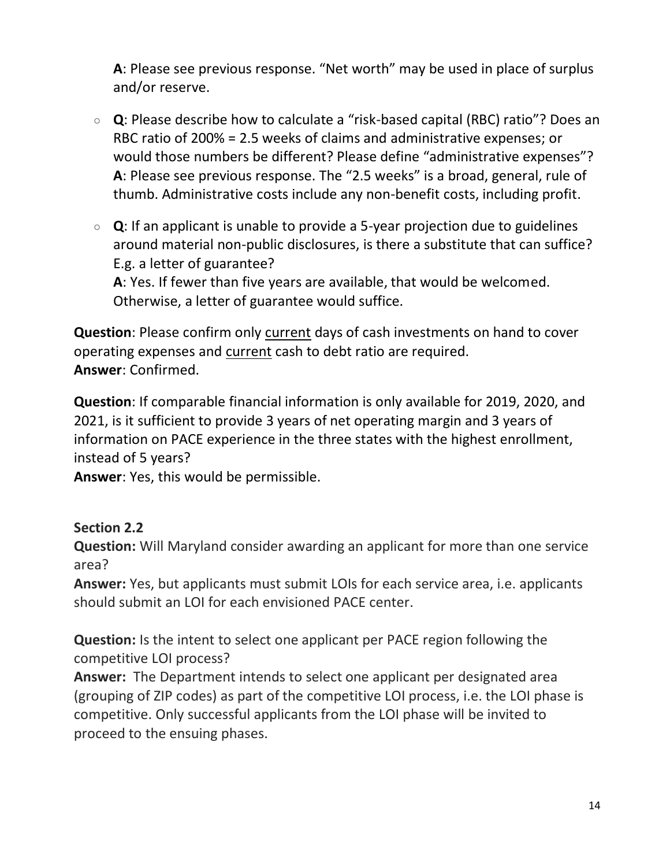**A**: Please see previous response. "Net worth" may be used in place of surplus and/or reserve.

- **Q**: Please describe how to calculate a "risk-based capital (RBC) ratio"? Does an RBC ratio of 200% = 2.5 weeks of claims and administrative expenses; or would those numbers be different? Please define "administrative expenses"? **A**: Please see previous response. The "2.5 weeks" is a broad, general, rule of thumb. Administrative costs include any non-benefit costs, including profit.
- **Q**: If an applicant is unable to provide a 5-year projection due to guidelines around material non-public disclosures, is there a substitute that can suffice? E.g. a letter of guarantee? **A**: Yes. If fewer than five years are available, that would be welcomed.

Otherwise, a letter of guarantee would suffice.

**Question**: Please confirm only current days of cash investments on hand to cover operating expenses and current cash to debt ratio are required. **Answer**: Confirmed.

**Question**: If comparable financial information is only available for 2019, 2020, and 2021, is it sufficient to provide 3 years of net operating margin and 3 years of information on PACE experience in the three states with the highest enrollment, instead of 5 years?

**Answer**: Yes, this would be permissible.

### **Section 2.2**

**Question:** Will Maryland consider awarding an applicant for more than one service area?

**Answer:** Yes, but applicants must submit LOIs for each service area, i.e. applicants should submit an LOI for each envisioned PACE center.

**Question:** Is the intent to select one applicant per PACE region following the competitive LOI process?

**Answer:** The Department intends to select one applicant per designated area (grouping of ZIP codes) as part of the competitive LOI process, i.e. the LOI phase is competitive. Only successful applicants from the LOI phase will be invited to proceed to the ensuing phases.